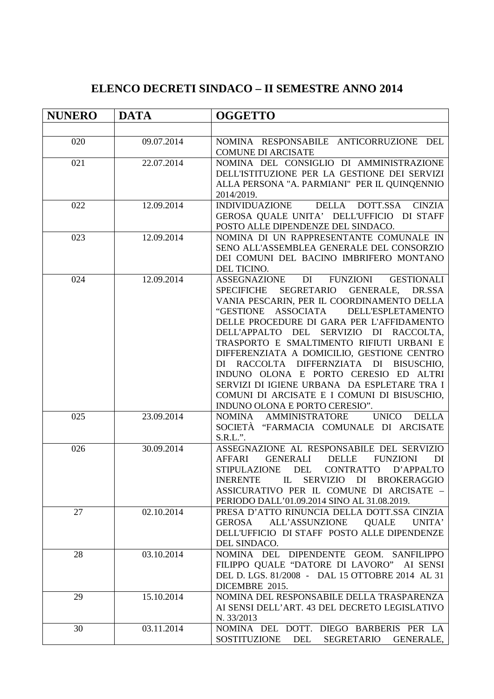## **ELENCO DECRETI SINDACO – II SEMESTRE ANNO 2014**

| <b>NUNERO</b> | <b>DATA</b> | <b>OGGETTO</b>                                                                                                                                                                                                                                                                                                                                                                                                                                                                                                                                                                                               |  |  |  |  |  |
|---------------|-------------|--------------------------------------------------------------------------------------------------------------------------------------------------------------------------------------------------------------------------------------------------------------------------------------------------------------------------------------------------------------------------------------------------------------------------------------------------------------------------------------------------------------------------------------------------------------------------------------------------------------|--|--|--|--|--|
|               |             |                                                                                                                                                                                                                                                                                                                                                                                                                                                                                                                                                                                                              |  |  |  |  |  |
| 020           | 09.07.2014  | NOMINA RESPONSABILE ANTICORRUZIONE DEL<br><b>COMUNE DI ARCISATE</b>                                                                                                                                                                                                                                                                                                                                                                                                                                                                                                                                          |  |  |  |  |  |
| 021           | 22.07.2014  | NOMINA DEL CONSIGLIO DI AMMINISTRAZIONE<br>DELL'ISTITUZIONE PER LA GESTIONE DEI SERVIZI<br>ALLA PERSONA "A. PARMIANI" PER IL QUINQENNIO<br>2014/2019.                                                                                                                                                                                                                                                                                                                                                                                                                                                        |  |  |  |  |  |
| 022           | 12.09.2014  | INDIVIDUAZIONE DELLA DOTT.SSA CINZIA<br>GEROSA QUALE UNITA' DELL'UFFICIO DI STAFF<br>POSTO ALLE DIPENDENZE DEL SINDACO.                                                                                                                                                                                                                                                                                                                                                                                                                                                                                      |  |  |  |  |  |
| 023           | 12.09.2014  | NOMINA DI UN RAPPRESENTANTE COMUNALE IN<br>SENO ALL'ASSEMBLEA GENERALE DEL CONSORZIO<br>DEI COMUNI DEL BACINO IMBRIFERO MONTANO<br>DEL TICINO.                                                                                                                                                                                                                                                                                                                                                                                                                                                               |  |  |  |  |  |
| 024           | 12.09.2014  | DI<br>FUNZIONI<br><b>GESTIONALI</b><br><b>ASSEGNAZIONE</b><br><b>SPECIFICHE</b><br>SEGRETARIO GENERALE, DR.SSA<br>VANIA PESCARIN, PER IL COORDINAMENTO DELLA<br>"GESTIONE ASSOCIATA<br>DELL'ESPLETAMENTO<br>DELLE PROCEDURE DI GARA PER L'AFFIDAMENTO<br>DELL'APPALTO DEL SERVIZIO DI RACCOLTA,<br>TRASPORTO E SMALTIMENTO RIFIUTI URBANI E<br>DIFFERENZIATA A DOMICILIO, GESTIONE CENTRO<br>DI RACCOLTA DIFFERNZIATA DI BISUSCHIO,<br>INDUNO OLONA E PORTO CERESIO ED ALTRI<br>SERVIZI DI IGIENE URBANA DA ESPLETARE TRA I<br>COMUNI DI ARCISATE E I COMUNI DI BISUSCHIO,<br>INDUNO OLONA E PORTO CERESIO". |  |  |  |  |  |
| 025           | 23.09.2014  | NOMINA AMMINISTRATORE<br><b>UNICO</b><br><b>DELLA</b><br>SOCIETÀ "FARMACIA COMUNALE DI ARCISATE<br>$S.R.L.$ ".                                                                                                                                                                                                                                                                                                                                                                                                                                                                                               |  |  |  |  |  |
| 026           | 30.09.2014  | ASSEGNAZIONE AL RESPONSABILE DEL SERVIZIO<br><b>GENERALI</b><br><b>DELLE</b><br><b>AFFARI</b><br><b>FUNZIONI</b><br>DI<br>STIPULAZIONE DEL<br>CONTRATTO D'APPALTO<br>INERENTE IL SERVIZIO DI BROKERAGGIO<br>ASSICURATIVO PER IL COMUNE DI ARCISATE -<br>PERIODO DALL'01.09.2014 SINO AL 31.08.2019.                                                                                                                                                                                                                                                                                                          |  |  |  |  |  |
| 27            | 02.10.2014  | PRESA D'ATTO RINUNCIA DELLA DOTT.SSA CINZIA<br><b>ALL'ASSUNZIONE</b><br><b>QUALE</b><br><b>GEROSA</b><br>UNITA'<br>DELL'UFFICIO DI STAFF POSTO ALLE DIPENDENZE<br>DEL SINDACO.                                                                                                                                                                                                                                                                                                                                                                                                                               |  |  |  |  |  |
| 28            | 03.10.2014  | NOMINA DEL DIPENDENTE GEOM. SANFILIPPO<br>FILIPPO QUALE "DATORE DI LAVORO" AI SENSI<br>DEL D. LGS. 81/2008 - DAL 15 OTTOBRE 2014 AL 31<br>DICEMBRE 2015.                                                                                                                                                                                                                                                                                                                                                                                                                                                     |  |  |  |  |  |
| 29            | 15.10.2014  | NOMINA DEL RESPONSABILE DELLA TRASPARENZA<br>AI SENSI DELL'ART. 43 DEL DECRETO LEGISLATIVO<br>N. 33/2013                                                                                                                                                                                                                                                                                                                                                                                                                                                                                                     |  |  |  |  |  |
| 30            | 03.11.2014  | NOMINA DEL DOTT. DIEGO BARBERIS PER LA<br>SOSTITUZIONE DEL<br>SEGRETARIO<br><b>GENERALE,</b>                                                                                                                                                                                                                                                                                                                                                                                                                                                                                                                 |  |  |  |  |  |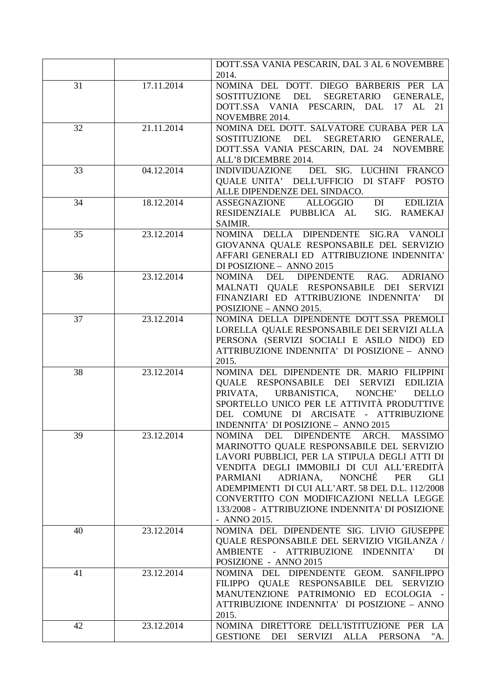|    |            | DOTT.SSA VANIA PESCARIN, DAL 3 AL 6 NOVEMBRE<br>2014.                                                                                                                                                                                                                                                                                                                                                                         |  |  |  |  |
|----|------------|-------------------------------------------------------------------------------------------------------------------------------------------------------------------------------------------------------------------------------------------------------------------------------------------------------------------------------------------------------------------------------------------------------------------------------|--|--|--|--|
| 31 | 17.11.2014 | NOMINA DEL DOTT. DIEGO BARBERIS PER LA<br>SOSTITUZIONE DEL<br>SEGRETARIO<br><b>GENERALE,</b><br>DOTT.SSA VANIA PESCARIN, DAL 17 AL 21<br>NOVEMBRE 2014.                                                                                                                                                                                                                                                                       |  |  |  |  |
| 32 | 21.11.2014 | NOMINA DEL DOTT. SALVATORE CURABA PER LA<br><b>SOSTITUZIONE</b><br>DEL<br>SEGRETARIO<br><b>GENERALE,</b><br>DOTT.SSA VANIA PESCARIN, DAL 24 NOVEMBRE<br>ALL'8 DICEMBRE 2014.                                                                                                                                                                                                                                                  |  |  |  |  |
| 33 | 04.12.2014 | DEL SIG. LUCHINI FRANCO<br><b>INDIVIDUAZIONE</b><br>QUALE UNITA' DELL'UFFICIO DI STAFF POSTO<br>ALLE DIPENDENZE DEL SINDACO.                                                                                                                                                                                                                                                                                                  |  |  |  |  |
| 34 | 18.12.2014 | DI<br><b>EDILIZIA</b><br><b>ASSEGNAZIONE</b><br>ALLOGGIO<br>RESIDENZIALE PUBBLICA AL<br>SIG.<br><b>RAMEKAJ</b><br>SAIMIR.                                                                                                                                                                                                                                                                                                     |  |  |  |  |
| 35 | 23.12.2014 | NOMINA DELLA DIPENDENTE SIG.RA VANOLI<br>GIOVANNA QUALE RESPONSABILE DEL SERVIZIO<br>AFFARI GENERALI ED ATTRIBUZIONE INDENNITA'<br>DI POSIZIONE - ANNO 2015                                                                                                                                                                                                                                                                   |  |  |  |  |
| 36 | 23.12.2014 | DIPENDENTE RAG.<br><b>ADRIANO</b><br><b>NOMINA</b><br><b>DEL</b><br>MALNATI QUALE RESPONSABILE DEI SERVIZI<br>FINANZIARI ED ATTRIBUZIONE INDENNITA'<br>DI<br>POSIZIONE - ANNO 2015.                                                                                                                                                                                                                                           |  |  |  |  |
| 37 | 23.12.2014 | NOMINA DELLA DIPENDENTE DOTT.SSA PREMOLI<br>LORELLA QUALE RESPONSABILE DEI SERVIZI ALLA<br>PERSONA (SERVIZI SOCIALI E ASILO NIDO) ED<br>ATTRIBUZIONE INDENNITA' DI POSIZIONE - ANNO<br>2015.                                                                                                                                                                                                                                  |  |  |  |  |
| 38 | 23.12.2014 | NOMINA DEL DIPENDENTE DR. MARIO FILIPPINI<br>QUALE RESPONSABILE<br>DEI<br><b>SERVIZI</b><br><b>EDILIZIA</b><br>URBANISTICA,<br>NONCHE'<br>PRIVATA,<br><b>DELLO</b><br>SPORTELLO UNICO PER LE ATTIVITÀ PRODUTTIVE<br>DEL COMUNE DI ARCISATE - ATTRIBUZIONE<br>INDENNITA' DI POSIZIONE - ANNO 2015                                                                                                                              |  |  |  |  |
| 39 | 23.12.2014 | NOMINA DEL DIPENDENTE ARCH. MASSIMO<br>MARINOTTO QUALE RESPONSABILE DEL SERVIZIO<br>LAVORI PUBBLICI, PER LA STIPULA DEGLI ATTI DI<br>VENDITA DEGLI IMMOBILI DI CUI ALL'EREDITÀ<br>ADRIANA,<br><b>NONCHÉ</b><br><b>PER</b><br><b>PARMIANI</b><br><b>GLI</b><br>ADEMPIMENTI DI CUI ALL'ART. 58 DEL D.L. 112/2008<br>CONVERTITO CON MODIFICAZIONI NELLA LEGGE<br>133/2008 - ATTRIBUZIONE INDENNITA' DI POSIZIONE<br>- ANNO 2015. |  |  |  |  |
| 40 | 23.12.2014 | NOMINA DEL DIPENDENTE SIG. LIVIO GIUSEPPE<br>QUALE RESPONSABILE DEL SERVIZIO VIGILANZA /<br><b>INDENNITA'</b><br>$\sim 10^{-11}$<br><b>ATTRIBUZIONE</b><br><b>AMBIENTE</b><br>DI<br>POSIZIONE - ANNO 2015                                                                                                                                                                                                                     |  |  |  |  |
| 41 | 23.12.2014 | NOMINA DEL DIPENDENTE GEOM. SANFILIPPO<br>FILIPPO QUALE RESPONSABILE DEL SERVIZIO<br>MANUTENZIONE PATRIMONIO ED ECOLOGIA<br>ATTRIBUZIONE INDENNITA' DI POSIZIONE - ANNO<br>2015.                                                                                                                                                                                                                                              |  |  |  |  |
| 42 | 23.12.2014 | NOMINA DIRETTORE DELL'ISTITUZIONE PER LA<br><b>GESTIONE</b><br>DEI<br>SERVIZI<br>ALLA<br>"A.<br><b>PERSONA</b>                                                                                                                                                                                                                                                                                                                |  |  |  |  |